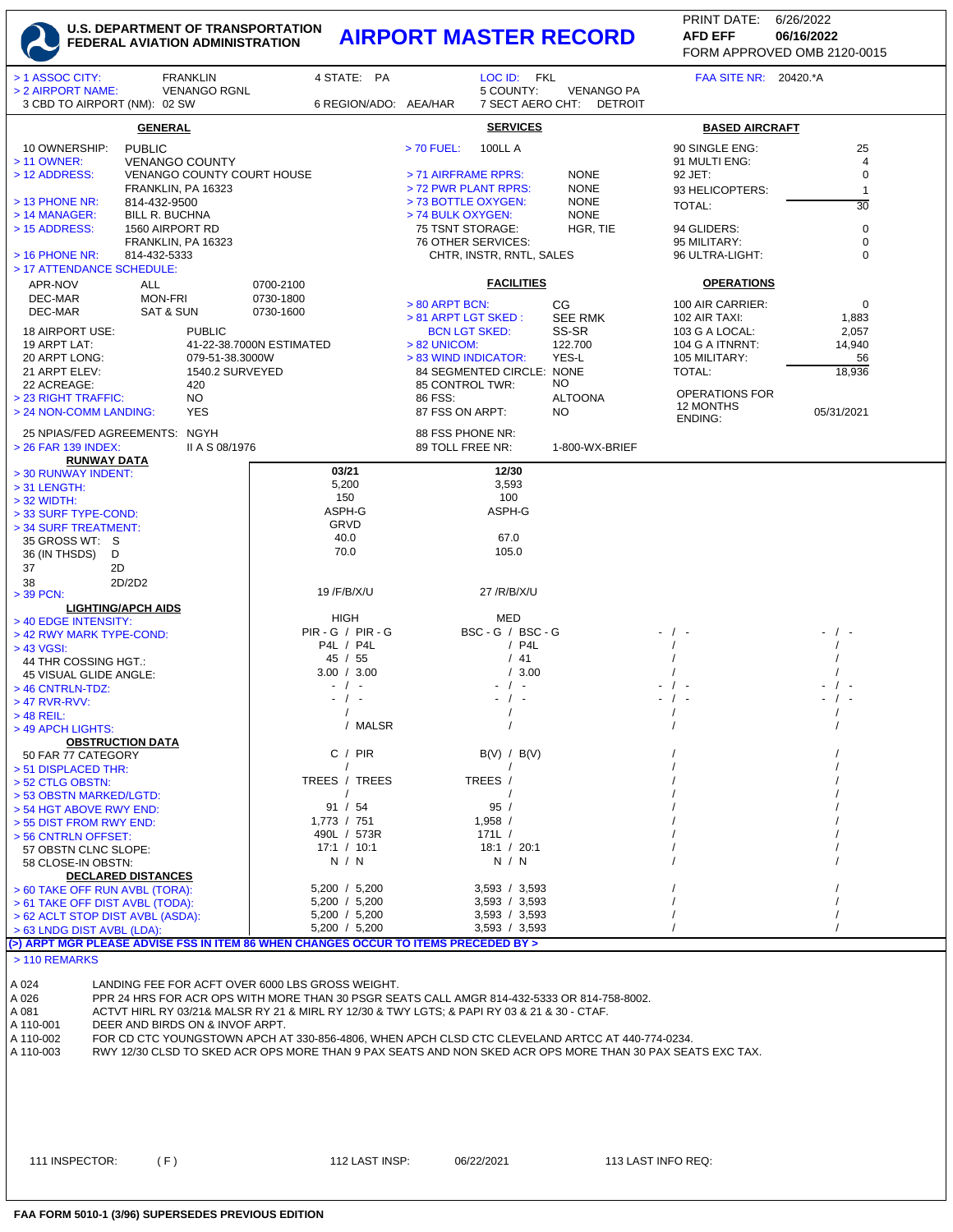## **U.S. DEPARTMENT OF TRANSPORTATION FEDERAL AVIATION ADMINISTRATION AIRPORT MASTER RECORD AFD EFF 06/16/2022**

FORM APPROVED OMB 2120-0015 PRINT DATE: 6/26/2022 **AFD EFF**

| > 1 ASSOC CITY:                                                                                              | <b>FRANKLIN</b>                                     | 4 STATE: PA                                                                                                                                     |                                          | LOC ID: FKL                    |                                     | FAA SITE NR: 20420.*A              |                |  |  |  |
|--------------------------------------------------------------------------------------------------------------|-----------------------------------------------------|-------------------------------------------------------------------------------------------------------------------------------------------------|------------------------------------------|--------------------------------|-------------------------------------|------------------------------------|----------------|--|--|--|
| > 2 AIRPORT NAME:<br>3 CBD TO AIRPORT (NM): 02 SW                                                            | <b>VENANGO RGNL</b>                                 | 6 REGION/ADO: AEA/HAR                                                                                                                           |                                          | 5 COUNTY:<br>7 SECT AERO CHT:  | <b>VENANGO PA</b><br><b>DETROIT</b> |                                    |                |  |  |  |
|                                                                                                              | <b>GENERAL</b>                                      |                                                                                                                                                 | <b>SERVICES</b>                          |                                |                                     | <b>BASED AIRCRAFT</b>              |                |  |  |  |
| 10 OWNERSHIP:                                                                                                | <b>PUBLIC</b>                                       |                                                                                                                                                 | > 70 FUEL:                               | <b>100LL A</b>                 |                                     | 90 SINGLE ENG:                     | 25             |  |  |  |
| > 11 OWNER:<br>> 12 ADDRESS:                                                                                 | <b>VENANGO COUNTY</b><br>VENANGO COUNTY COURT HOUSE |                                                                                                                                                 | > 71 AIRFRAME RPRS:                      |                                | <b>NONE</b>                         | 91 MULTI ENG:<br>92 JET:           | 4<br>$\pmb{0}$ |  |  |  |
|                                                                                                              | FRANKLIN, PA 16323                                  |                                                                                                                                                 | > 72 PWR PLANT RPRS:                     |                                | <b>NONE</b>                         | 93 HELICOPTERS:                    | $\mathbf{1}$   |  |  |  |
| $>$ 13 PHONE NR:<br>$>$ 14 MANAGER:                                                                          | 814-432-9500<br><b>BILL R. BUCHNA</b>               |                                                                                                                                                 | > 73 BOTTLE OXYGEN:<br>> 74 BULK OXYGEN: |                                | <b>NONE</b><br><b>NONE</b>          | TOTAL:                             | 30             |  |  |  |
| > 15 ADDRESS:                                                                                                | 1560 AIRPORT RD                                     |                                                                                                                                                 | 75 TSNT STORAGE:                         |                                | HGR, TIE                            | 94 GLIDERS:                        | $\mathbf 0$    |  |  |  |
| $>$ 16 PHONE NR:                                                                                             | FRANKLIN, PA 16323<br>814-432-5333                  |                                                                                                                                                 | 76 OTHER SERVICES:                       | CHTR, INSTR, RNTL, SALES       |                                     | 95 MILITARY:<br>96 ULTRA-LIGHT:    | 0<br>0         |  |  |  |
| > 17 ATTENDANCE SCHEDULE:                                                                                    |                                                     |                                                                                                                                                 |                                          |                                |                                     |                                    |                |  |  |  |
| APR-NOV<br>ALL<br>DEC-MAR<br><b>MON-FRI</b>                                                                  |                                                     | 0700-2100<br>0730-1800                                                                                                                          | <b>FACILITIES</b>                        |                                |                                     | <b>OPERATIONS</b>                  |                |  |  |  |
| DEC-MAR                                                                                                      | SAT & SUN                                           | 0730-1600                                                                                                                                       | > 80 ARPT BCN:<br>> 81 ARPT LGT SKED:    |                                | <b>CG</b><br><b>SEE RMK</b>         | 100 AIR CARRIER:<br>102 AIR TAXI:  | 0<br>1,883     |  |  |  |
| 18 AIRPORT USE:                                                                                              | <b>PUBLIC</b>                                       |                                                                                                                                                 | <b>BCN LGT SKED:</b>                     |                                | SS-SR                               | 103 G A LOCAL:                     | 2,057          |  |  |  |
| 19 ARPT LAT:<br>41-22-38.7000N ESTIMATED<br>20 ARPT LONG:<br>079-51-38.3000W                                 |                                                     |                                                                                                                                                 | $> 82$ UNICOM:<br>> 83 WIND INDICATOR:   |                                | 122.700<br>YES-L                    | 104 G A ITNRNT:<br>105 MILITARY:   | 14,940<br>56   |  |  |  |
| 21 ARPT ELEV:<br>22 ACREAGE:                                                                                 | 1540.2 SURVEYED                                     |                                                                                                                                                 | 84 SEGMENTED CIRCLE: NONE                |                                | NO.                                 | TOTAL:                             | 18,936         |  |  |  |
| > 23 RIGHT TRAFFIC:                                                                                          | 420<br>NO.                                          |                                                                                                                                                 | 85 CONTROL TWR:<br>86 FSS:               |                                | <b>ALTOONA</b>                      | <b>OPERATIONS FOR</b><br>12 MONTHS |                |  |  |  |
| > 24 NON-COMM LANDING:                                                                                       | <b>YES</b>                                          |                                                                                                                                                 | 87 FSS ON ARPT:                          |                                | NO                                  | <b>ENDING:</b>                     | 05/31/2021     |  |  |  |
| 25 NPIAS/FED AGREEMENTS: NGYH<br>> 26 FAR 139 INDEX:                                                         | II A S 08/1976                                      |                                                                                                                                                 | 88 FSS PHONE NR:<br>89 TOLL FREE NR:     |                                | 1-800-WX-BRIEF                      |                                    |                |  |  |  |
| <b>RUNWAY DATA</b>                                                                                           |                                                     |                                                                                                                                                 |                                          | 12/30                          |                                     |                                    |                |  |  |  |
| > 30 RUNWAY INDENT:<br>> 31 LENGTH:                                                                          |                                                     | 03/21<br>5,200                                                                                                                                  |                                          | 3,593                          |                                     |                                    |                |  |  |  |
| $>$ 32 WIDTH:                                                                                                |                                                     | 150<br>ASPH-G                                                                                                                                   |                                          | 100<br>ASPH-G                  |                                     |                                    |                |  |  |  |
| > 33 SURF TYPE-COND:<br>> 34 SURF TREATMENT:                                                                 |                                                     | GRVD                                                                                                                                            |                                          |                                |                                     |                                    |                |  |  |  |
| 35 GROSS WT: S<br>36 (IN THSDS)<br>D                                                                         |                                                     | 40.0<br>70.0                                                                                                                                    |                                          | 67.0<br>105.0                  |                                     |                                    |                |  |  |  |
| 37<br>2D                                                                                                     |                                                     |                                                                                                                                                 |                                          |                                |                                     |                                    |                |  |  |  |
| 2D/2D2<br>38<br>$>$ 39 PCN:                                                                                  |                                                     | 19 / F/B/X/U                                                                                                                                    | 27 /R/B/X/U                              |                                |                                     |                                    |                |  |  |  |
| <b>LIGHTING/APCH AIDS</b>                                                                                    |                                                     | HIGH                                                                                                                                            |                                          | MED                            |                                     |                                    |                |  |  |  |
| > 40 EDGE INTENSITY:<br>> 42 RWY MARK TYPE-COND:                                                             |                                                     | $PIR - G / PIR - G$                                                                                                                             |                                          | BSC-G / BSC-G                  |                                     |                                    |                |  |  |  |
| > 43 VGSI:<br>44 THR COSSING HGT.:                                                                           |                                                     | P4L / P4L<br>45 / 55                                                                                                                            |                                          | $/$ P4L<br>/41                 |                                     |                                    |                |  |  |  |
| 45 VISUAL GLIDE ANGLE:                                                                                       |                                                     | 3.00 / 3.00                                                                                                                                     |                                          | /3.00                          |                                     |                                    |                |  |  |  |
| $>$ 46 CNTRLN-TDZ:<br>> 47 RVR-RVV:                                                                          |                                                     | $\sqrt{ }$<br>$\blacksquare$<br>$-$ / $-$                                                                                                       |                                          | $\sqrt{2}$                     |                                     |                                    |                |  |  |  |
| $>$ 48 REIL:                                                                                                 |                                                     | / MALSR                                                                                                                                         |                                          |                                |                                     |                                    |                |  |  |  |
| > 49 APCH LIGHTS:<br><b>OBSTRUCTION DATA</b>                                                                 |                                                     |                                                                                                                                                 |                                          |                                |                                     |                                    |                |  |  |  |
| 50 FAR 77 CATEGORY<br>> 51 DISPLACED THR:                                                                    |                                                     | C / PIR<br>$\prime$                                                                                                                             |                                          | B(V) / B(V)                    |                                     |                                    |                |  |  |  |
| > 52 CTLG OBSTN:                                                                                             |                                                     | TREES / TREES                                                                                                                                   |                                          | TREES /                        |                                     |                                    |                |  |  |  |
| > 53 OBSTN MARKED/LGTD:<br>> 54 HGT ABOVE RWY END:                                                           |                                                     | 91 / 54                                                                                                                                         |                                          | 95/                            |                                     |                                    |                |  |  |  |
| > 55 DIST FROM RWY END:                                                                                      |                                                     | $1,773$ / $751$                                                                                                                                 |                                          | 1,958 /                        |                                     |                                    |                |  |  |  |
| > 56 CNTRLN OFFSET:<br>57 OBSTN CLNC SLOPE:                                                                  |                                                     | 490L / 573R<br>17:1 / 10:1                                                                                                                      |                                          | 171L /<br>18:1 / 20:1          |                                     |                                    |                |  |  |  |
| 58 CLOSE-IN OBSTN:                                                                                           | <b>DECLARED DISTANCES</b>                           | N / N                                                                                                                                           |                                          | N / N                          |                                     |                                    |                |  |  |  |
| > 60 TAKE OFF RUN AVBL (TORA):                                                                               |                                                     | 5,200 / 5,200                                                                                                                                   |                                          | 3,593 / 3,593                  |                                     |                                    |                |  |  |  |
| > 61 TAKE OFF DIST AVBL (TODA):<br>> 62 ACLT STOP DIST AVBL (ASDA):                                          |                                                     | 5,200 / 5,200<br>5,200 / 5,200                                                                                                                  |                                          | 3,593 / 3,593<br>3,593 / 3,593 |                                     |                                    |                |  |  |  |
| > 63 LNDG DIST AVBL (LDA):                                                                                   |                                                     | 5,200 / 5,200                                                                                                                                   |                                          | 3,593 / 3,593                  |                                     |                                    |                |  |  |  |
| > 110 REMARKS                                                                                                |                                                     | (>) ARPT MGR PLEASE ADVISE FSS IN ITEM 86 WHEN CHANGES OCCUR TO ITEMS PRECEDED BY >                                                             |                                          |                                |                                     |                                    |                |  |  |  |
|                                                                                                              |                                                     |                                                                                                                                                 |                                          |                                |                                     |                                    |                |  |  |  |
| A 024<br>A 026                                                                                               |                                                     | LANDING FEE FOR ACFT OVER 6000 LBS GROSS WEIGHT.<br>PPR 24 HRS FOR ACR OPS WITH MORE THAN 30 PSGR SEATS CALL AMGR 814-432-5333 OR 814-758-8002. |                                          |                                |                                     |                                    |                |  |  |  |
| A 081<br>A 110-001                                                                                           | DEER AND BIRDS ON & INVOF ARPT.                     | ACTVT HIRL RY 03/21& MALSR RY 21 & MIRL RY 12/30 & TWY LGTS; & PAPI RY 03 & 21 & 30 - CTAF.                                                     |                                          |                                |                                     |                                    |                |  |  |  |
| FOR CD CTC YOUNGSTOWN APCH AT 330-856-4806, WHEN APCH CLSD CTC CLEVELAND ARTCC AT 440-774-0234.<br>A 110-002 |                                                     |                                                                                                                                                 |                                          |                                |                                     |                                    |                |  |  |  |
| A 110-003                                                                                                    |                                                     | RWY 12/30 CLSD TO SKED ACR OPS MORE THAN 9 PAX SEATS AND NON SKED ACR OPS MORE THAN 30 PAX SEATS EXC TAX.                                       |                                          |                                |                                     |                                    |                |  |  |  |
|                                                                                                              |                                                     |                                                                                                                                                 |                                          |                                |                                     |                                    |                |  |  |  |
|                                                                                                              |                                                     |                                                                                                                                                 |                                          |                                |                                     |                                    |                |  |  |  |
|                                                                                                              |                                                     |                                                                                                                                                 |                                          |                                |                                     |                                    |                |  |  |  |
|                                                                                                              |                                                     |                                                                                                                                                 |                                          |                                |                                     |                                    |                |  |  |  |
| 111 INSPECTOR:                                                                                               | (F)                                                 | 112 LAST INSP:                                                                                                                                  | 06/22/2021                               |                                |                                     | 113 LAST INFO REQ:                 |                |  |  |  |